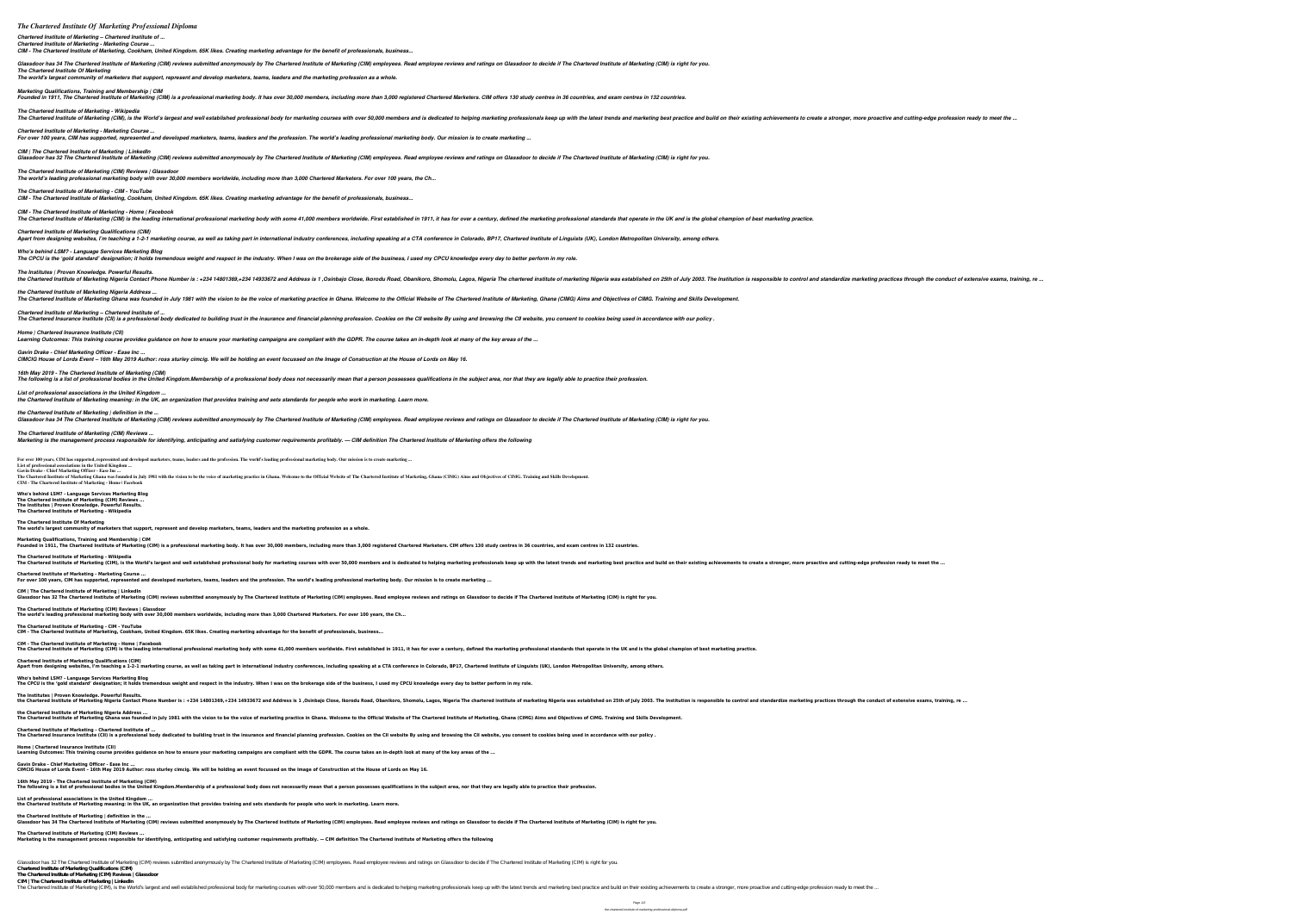## *The Chartered Institute Of Marketing Professional Diploma*

*Chartered Institute of Marketing – Chartered Institute of ... Chartered Institute of Marketing - Marketing Course ...*

*CIM - The Chartered Institute of Marketing, Cookham, United Kingdom. 65K likes. Creating marketing advantage for the benefit of professionals, business...*

Glassdoor has 34 The Chartered Institute of Marketing (CIM) reviews submitted anonymously by The Chartered Institute of Marketing (CIM) employee reviews and ratings on Glassdoor to decide if The Chartered Institute of Mark *The Chartered Institute Of Marketing The world's largest community of marketers that support, represent and develop marketers, teams, leaders and the marketing profession as a whole.*

*Marketing Qualifications, Training and Membership | CIM*

*CIM - The Chartered Institute of Marketing - Home | Facebook* The Chartered Institute of Marketing (CIM) is the leading international professional marketing body with some 41,000 members worldwide. First established in 1911, it has for over a century, defined the marketing profession

*The Chartered Institute of Marketing - Wikipedia* The Chartered Institute of Marketing (CIM), is the World's largest and well established professional body for marketing best practice and build on their existing achievements to create a stronger, more proactive and cuttin *Chartered Institute of Marketing - Marketing Course ...*

*Chartered Institute of Marketing Qualifications (CIM)* Apart from designing websites, I'm teaching a 1-2-1 marketing course, as well as taking part in international industry conferences, including speaking at a CTA conference in Colorado, BP17, Chartered Institute of Linguists

*For over 100 years, CIM has supported, represented and developed marketers, teams, leaders and the profession. The world's leading professional marketing body. Our mission is to create marketing ...*

*CIM | The Chartered Institute of Marketing | LinkedIn* Glassdoor has 32 The Chartered Institute of Marketing (CIM) reviews submitted anonymously by The Chartered Institute of Marketing (CIM) employee reviews and ratings on Glassdoor to decide if The Chartered Institute of Mark *The Chartered Institute of Marketing (CIM) Reviews | Glassdoor*

*The world's leading professional marketing body with over 30,000 members worldwide, including more than 3,000 Chartered Marketers. For over 100 years, the Ch...*

*The Chartered Institute of Marketing - CIM - YouTube CIM - The Chartered Institute of Marketing, Cookham, United Kingdom. 65K likes. Creating marketing advantage for the benefit of professionals, business...*

*the Chartered Institute of Marketing | definition in the ...* Glassdoor has 34 The Chartered Institute of Marketing (CIM) reviews submitted anonymously by The Chartered Institute of Marketing (CIM) employee reviews and ratings on Glassdoor to decide if The Chartered Institute of Mark

For over 100 years, CIM has supported, represented and developed marketers, teams, leaders and the profession. The world's leading professional marketing body. Our mission is to create marketing ... **List of professional associations in the United Kingdom ...**

*Who's behind LSM? - Language Services Marketing Blog*

*The CPCU is the 'gold standard' designation; it holds tremendous weight and respect in the industry. When I was on the brokerage side of the business, I used my CPCU knowledge every day to better perform in my role.*

*The Institutes | Proven Knowledge. Powerful Results.* the Chartered Institute of Marketing Nigeria Contact Phone Number is : +234 14801369,+234 14801369,+234 14933672 and Address is 1 ,Osinbajo Close, Ikorodu Road, Obanikoro, Shomolu, Lagos, Nigeria was established on 25th of *the Chartered Institute of Marketing Nigeria Address ...*

The Chartered Institute of Marketing Ghana was founded in July 1981 with the vision to be the voice of marketing practice in Ghana. Welcome to the Official Website of The Chartered Institute of Marketing, Ghana (CIMG) Aims

**The Chartered Institute of Marketing - Wikipedia** The Chartered Institute of Marketing (CIM), is the World's largest and well established professional body for marketing best practice and build on their existing achievements to create a stronger, more proactive and cuttin

**Chartered Institute of Marketing - Marketing Course ...** For over 100 years, CIM has supported, represented and developed marketers, teams, leaders and the profession. The world's leading professional marketing body. Our mission is to create marketing ...

**CIM | The Chartered Institute of Marketing | LinkedIn** Glassdoor has 32 The Chartered Institute of Marketing (CIM) reviews submitted anonymously by The Chartered Institute of Marketing (CIM) employee reviews and ratings on Glassdoor to decide if The Chartered Institute of Mark

*Chartered Institute of Marketing – Chartered Institute of ...* The Chartered Insurance Institute (CII) is a professional body dedicated to building trust in the insurance and financial planning profession. Cookies on the CII website By using and browsing the CII website, you consent t *Home | Chartered Insurance Institute (CII)*

**CIM - The Chartered Institute of Marketing - Home | Facebook** The Chartered Institute of Marketing (CIM) is the leading international professional marketing body with some 41,000 members worldwide. First established in 1911, it has for over a century, defined the marketing profession

*Learning Outcomes: This training course provides guidance on how to ensure your marketing campaigns are compliant with the GDPR. The course takes an in-depth look at many of the key areas of the ...*

Apart from designing websites, I'm teaching a 1-2-1 marketing course, as well as taking part in international industry conferences, including speaking at a CTA conferences in Colorado, BP17, Chartered Institute of Linguist **Who's behind LSM? - Language Services Marketing Blog**

*Gavin Drake - Chief Marketing Officer - Ease Inc ... CIMCIG House of Lords Event – 16th May 2019 Author: ross sturley cimcig. We will be holding an event focussed on the Image of Construction at the House of Lords on May 16.*

The following is a list of professional bodies in the United Kingdom.Membership of a professional body does not necessarily mean that a person possesses qualifications in the subject area, nor that they are legally able to

*16th May 2019 - The Chartered Institute of Marketing (CIM)*

*List of professional associations in the United Kingdom ... the Chartered Institute of Marketing meaning: in the UK, an organization that provides training and sets standards for people who work in marketing. Learn more.*

**16th May 2019 - The Chartered Institute of Marketing (CIM)** The following is a list of professional bodies in the United Kingdom.Membership of a professional body does not necessarily mean that a person possesses qualifications in the subject area, nor that they are legally able to

**the Chartered Institute of Marketing | definition in the ...** Glassdoor has 34 The Chartered Institute of Marketing (CIM) reviews submitted anonymously by The Chartered Institute of Marketing (CIM) employee reviews and ratings on Glassdoor to decide if The Chartered Institute of Mark

*The Chartered Institute of Marketing (CIM) Reviews ... Marketing is the management process responsible for identifying, anticipating and satisfying customer requirements profitably. — CIM definition The Chartered Institute of Marketing offers the following*

Glassdoor has 32 The Chartered Institute of Marketing (CIM) reviews submitted anonymously by The Chartered Institute of Marketing (CIM) employees. Read employee reviews and ratings on Glassdoor to decide if The Chartered I **Chartered Institute of Marketing Qualifications (CIM) The Chartered Institute of Marketing (CIM) Reviews | Glassdoor**

**Gavin Drake - Chief Marketing Officer - Ease Inc ...** The Chartered Institute of Marketing Ghana was founded in July 1981 with the vision to be the voice of marketing practice in Ghana. Welcome to the Official Website of The Chartered Institute of Marketing, Ghana (CIMG) Aims **CIM - The Chartered Institute of Marketing - Home | Facebook**

**Who's behind LSM? - Language Services Marketing Blog The Chartered Institute of Marketing (CIM) Reviews ... The Institutes | Proven Knowledge. Powerful Results. The Chartered Institute of Marketing - Wikipedia**

**The Chartered Institute Of Marketing**

**The world's largest community of marketers that support, represent and develop marketers, teams, leaders and the marketing profession as a whole. Marketing Qualifications, Training and Membership | CIM**

Founded in 1911, The Chartered Institute of Marketing (CIM) is a professional marketing body. It has over 30,000 members, including more than 3,000 registered Marketers. CIM offers 130 study centres in 36 countries, and ex

**The Chartered Institute of Marketing (CIM) Reviews | Glassdoor The world's leading professional marketing body with over 30,000 members worldwide, including more than 3,000 Chartered Marketers. For over 100 years, the Ch...**

**The Chartered Institute of Marketing - CIM - YouTube CIM - The Chartered Institute of Marketing, Cookham, United Kingdom. 65K likes. Creating marketing advantage for the benefit of professionals, business...**

**Chartered Institute of Marketing Qualifications (CIM)**

**The CPCU is the 'gold standard' designation; it holds tremendous weight and respect in the industry. When I was on the brokerage side of the business, I used my CPCU knowledge every day to better perform in my role.**

... the Chartered Institute of Marketing Nigeria Contact Phone Number is: +234 14801369,+234 14801369,+234 14933672 and Address is 1, Osinbajo Close, Ikorodu Road, Obanikoro, Shomolu, Lagos, Nigeria The chartered institute

The Chartered Insurance Institute (CII) is a professional body dedicated to building trust in the insurance and financial planning profession. Cookies on the CII website By using and browsing the CII website, you consent t

The Chartered Institute of Marketing (CIM), is the World's largest and well established professional body for marketing courses with over 50,000 members and is dedicated to helping marketing best practice and build on thei

**The Institutes | Proven Knowledge. Powerful Results.**

**the Chartered Institute of Marketing Nigeria Address ...**

The Chartered Institute of Marketing Ghana was founded in July 1981 with the vision to be the voice of marketing practice in Ghana. Welcome to the Official Website of The Chartered Institute of Marketing, Ghana (CIMG) Aims

**Chartered Institute of Marketing – Chartered Institute of ...**

**Home | Chartered Insurance Institute (CII)**

**Learning Outcomes: This training course provides guidance on how to ensure your marketing campaigns are compliant with the GDPR. The course takes an in-depth look at many of the key areas of the ...**

**Gavin Drake - Chief Marketing Officer - Ease Inc ... CIMCIG House of Lords Event – 16th May 2019 Author: ross sturley cimcig. We will be holding an event focussed on the Image of Construction at the House of Lords on May 16.**

**List of professional associations in the United Kingdom ... the Chartered Institute of Marketing meaning: in the UK, an organization that provides training and sets standards for people who work in marketing. Learn more.**

**The Chartered Institute of Marketing (CIM) Reviews ... Marketing is the management process responsible for identifying, anticipating and satisfying customer requirements profitably. — CIM definition The Chartered Institute of Marketing offers the following**

**CIM | The Chartered Institute of Marketing | LinkedIn**

Founded in 1911, The Chartered Institute of Marketing (CIM) is a professional marketing body. It has over 30,000 members, including more than 3,000 registered Chartered Marketers. CIM offers 130 study centres in 36 countri